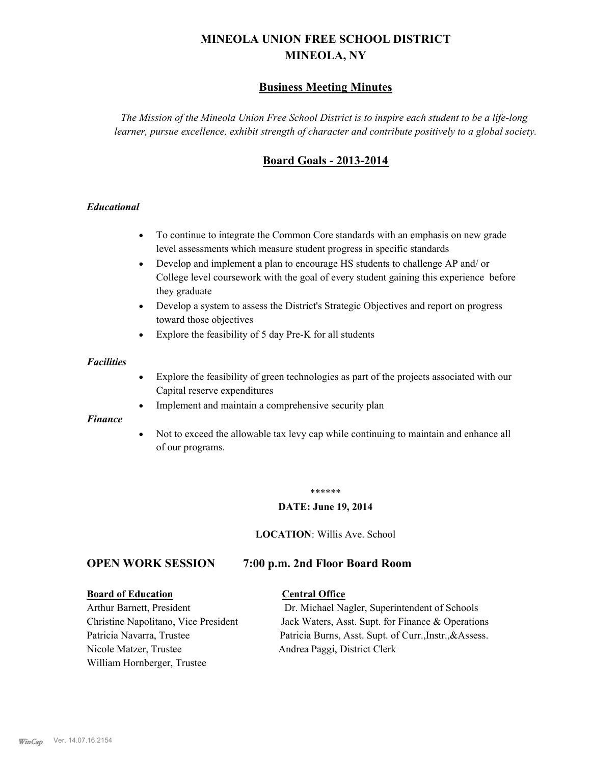# **MINEOLA UNION FREE SCHOOL DISTRICT MINEOLA, NY**

# **Business Meeting Minutes**

*The Mission of the Mineola Union Free School District is to inspire each student to be a life-long learner, pursue excellence, exhibit strength of character and contribute positively to a global society.*

# **Board Goals - 2013-2014**

#### *Educational*

- · To continue to integrate the Common Core standards with an emphasis on new grade level assessments which measure student progress in specific standards
- · Develop and implement a plan to encourage HS students to challenge AP and/ or College level coursework with the goal of every student gaining this experience before they graduate
- Develop a system to assess the District's Strategic Objectives and report on progress toward those objectives
- · Explore the feasibility of 5 day Pre-K for all students

#### *Facilities*

- · Explore the feasibility of green technologies as part of the projects associated with our Capital reserve expenditures
- Implement and maintain a comprehensive security plan

#### *Finance*

• Not to exceed the allowable tax levy cap while continuing to maintain and enhance all of our programs.

#### \*\*\*\*\*\*

#### **DATE: June 19, 2014**

**LOCATION**: Willis Ave. School

# **OPEN WORK SESSION 7:00 p.m. 2nd Floor Board Room**

#### **Board of Education Central Office**

Nicole Matzer, Trustee Andrea Paggi, District Clerk William Hornberger, Trustee

Arthur Barnett, President Dr. Michael Nagler, Superintendent of Schools Christine Napolitano, Vice President Jack Waters, Asst. Supt. for Finance & Operations Patricia Navarra, Trustee Patricia Burns, Asst. Supt. of Curr., Instr., &Assess.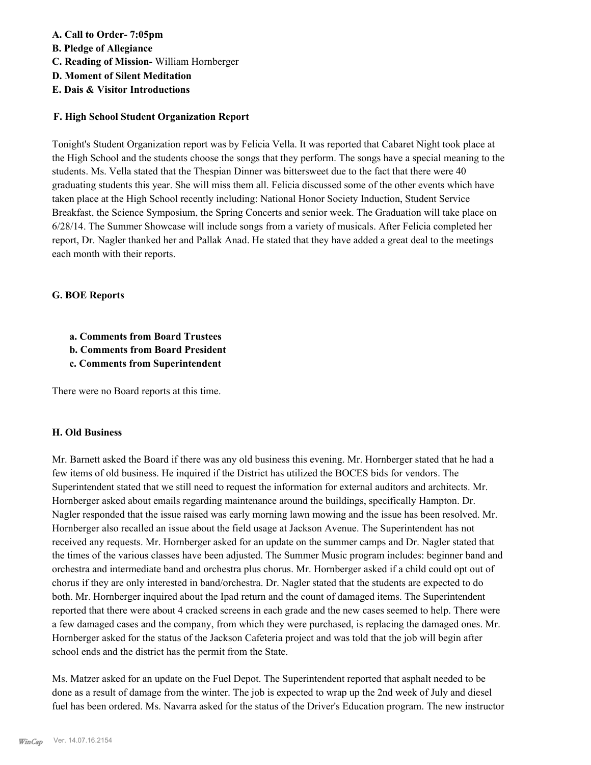## **A. Call to Order- 7:05pm**

- **B. Pledge of Allegiance**
- **C. Reading of Mission-** William Hornberger
- **D. Moment of Silent Meditation**
- **E. Dais & Visitor Introductions**

#### **F. High School Student Organization Report**

Tonight's Student Organization report was by Felicia Vella. It was reported that Cabaret Night took place at the High School and the students choose the songs that they perform. The songs have a special meaning to the students. Ms. Vella stated that the Thespian Dinner was bittersweet due to the fact that there were 40 graduating students this year. She will miss them all. Felicia discussed some of the other events which have taken place at the High School recently including: National Honor Society Induction, Student Service Breakfast, the Science Symposium, the Spring Concerts and senior week. The Graduation will take place on 6/28/14. The Summer Showcase will include songs from a variety of musicals. After Felicia completed her report, Dr. Nagler thanked her and Pallak Anad. He stated that they have added a great deal to the meetings each month with their reports.

#### **G. BOE Reports**

- **a. Comments from Board Trustees**
- **b. Comments from Board President**
- **c. Comments from Superintendent**

There were no Board reports at this time.

#### **H. Old Business**

Mr. Barnett asked the Board if there was any old business this evening. Mr. Hornberger stated that he had a few items of old business. He inquired if the District has utilized the BOCES bids for vendors. The Superintendent stated that we still need to request the information for external auditors and architects. Mr. Hornberger asked about emails regarding maintenance around the buildings, specifically Hampton. Dr. Nagler responded that the issue raised was early morning lawn mowing and the issue has been resolved. Mr. Hornberger also recalled an issue about the field usage at Jackson Avenue. The Superintendent has not received any requests. Mr. Hornberger asked for an update on the summer camps and Dr. Nagler stated that the times of the various classes have been adjusted. The Summer Music program includes: beginner band and orchestra and intermediate band and orchestra plus chorus. Mr. Hornberger asked if a child could opt out of chorus if they are only interested in band/orchestra. Dr. Nagler stated that the students are expected to do both. Mr. Hornberger inquired about the Ipad return and the count of damaged items. The Superintendent reported that there were about 4 cracked screens in each grade and the new cases seemed to help. There were a few damaged cases and the company, from which they were purchased, is replacing the damaged ones. Mr. Hornberger asked for the status of the Jackson Cafeteria project and was told that the job will begin after school ends and the district has the permit from the State.

Ms. Matzer asked for an update on the Fuel Depot. The Superintendent reported that asphalt needed to be done as a result of damage from the winter. The job is expected to wrap up the 2nd week of July and diesel fuel has been ordered. Ms. Navarra asked for the status of the Driver's Education program. The new instructor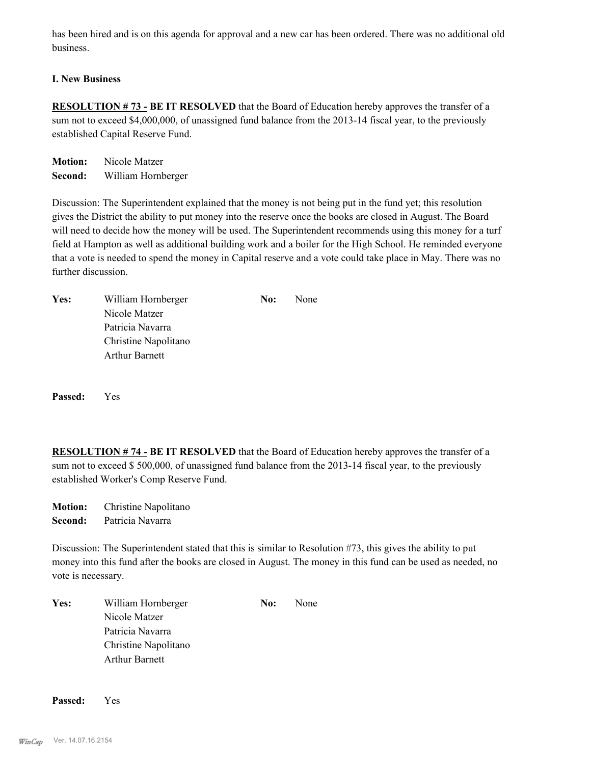has been hired and is on this agenda for approval and a new car has been ordered. There was no additional old business.

## **I. New Business**

**RESOLUTION # 73 - BE IT RESOLVED** that the Board of Education hereby approves the transfer of a sum not to exceed \$4,000,000, of unassigned fund balance from the 2013-14 fiscal year, to the previously established Capital Reserve Fund.

**Motion:** Nicole Matzer **Second:** William Hornberger

Discussion: The Superintendent explained that the money is not being put in the fund yet; this resolution gives the District the ability to put money into the reserve once the books are closed in August. The Board will need to decide how the money will be used. The Superintendent recommends using this money for a turf field at Hampton as well as additional building work and a boiler for the High School. He reminded everyone that a vote is needed to spend the money in Capital reserve and a vote could take place in May. There was no further discussion.

| Yes: | William Hornberger    | No: | None |
|------|-----------------------|-----|------|
|      | Nicole Matzer         |     |      |
|      | Patricia Navarra      |     |      |
|      | Christine Napolitano  |     |      |
|      | <b>Arthur Barnett</b> |     |      |
|      |                       |     |      |

**Passed:** Yes

**RESOLUTION # 74 - BE IT RESOLVED** that the Board of Education hereby approves the transfer of a sum not to exceed \$500,000, of unassigned fund balance from the 2013-14 fiscal year, to the previously established Worker's Comp Reserve Fund.

**Motion:** Christine Napolitano **Second:** Patricia Navarra

Discussion: The Superintendent stated that this is similar to Resolution #73, this gives the ability to put money into this fund after the books are closed in August. The money in this fund can be used as needed, no vote is necessary.

| Yes: | William Hornberger    | No: | None |
|------|-----------------------|-----|------|
|      | Nicole Matzer         |     |      |
|      | Patricia Navarra      |     |      |
|      | Christine Napolitano  |     |      |
|      | <b>Arthur Barnett</b> |     |      |

**Passed:** Yes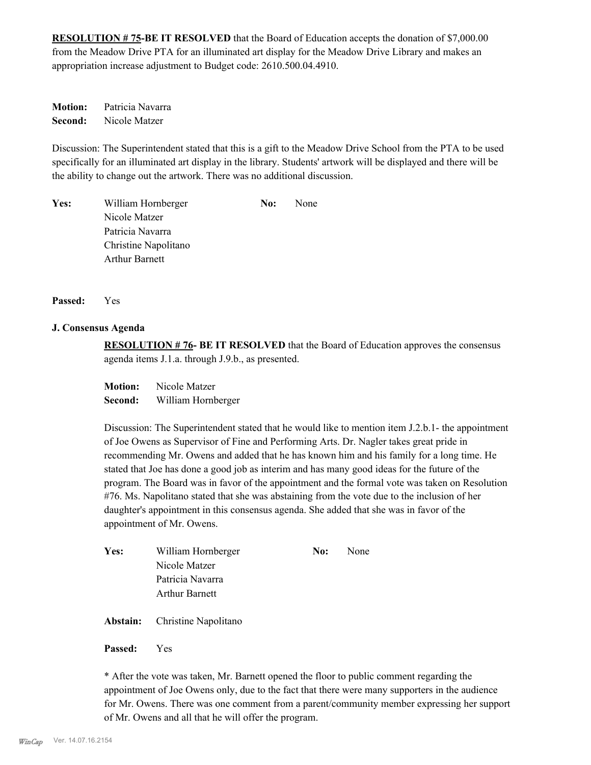**RESOLUTION # 75-BE IT RESOLVED** that the Board of Education accepts the donation of \$7,000.00 from the Meadow Drive PTA for an illuminated art display for the Meadow Drive Library and makes an appropriation increase adjustment to Budget code: 2610.500.04.4910.

**Motion:** Patricia Navarra **Second:** Nicole Matzer

Discussion: The Superintendent stated that this is a gift to the Meadow Drive School from the PTA to be used specifically for an illuminated art display in the library. Students' artwork will be displayed and there will be the ability to change out the artwork. There was no additional discussion.

Yes: William Hornberger **No:** None Nicole Matzer Patricia Navarra Christine Napolitano Arthur Barnett

**Passed:** Yes

#### **J. Consensus Agenda**

**RESOLUTION # 76- BE IT RESOLVED** that the Board of Education approves the consensus agenda items J.1.a. through J.9.b., as presented.

**Motion:** Nicole Matzer **Second:** William Hornberger

Discussion: The Superintendent stated that he would like to mention item J.2.b.1- the appointment of Joe Owens as Supervisor of Fine and Performing Arts. Dr. Nagler takes great pride in recommending Mr. Owens and added that he has known him and his family for a long time. He stated that Joe has done a good job as interim and has many good ideas for the future of the program. The Board was in favor of the appointment and the formal vote was taken on Resolution #76. Ms. Napolitano stated that she was abstaining from the vote due to the inclusion of her daughter's appointment in this consensus agenda. She added that she was in favor of the appointment of Mr. Owens.

| Yes: | William Hornberger                   | No: | None |
|------|--------------------------------------|-----|------|
|      | Nicole Matzer                        |     |      |
|      | Patricia Navarra                     |     |      |
|      | <b>Arthur Barnett</b>                |     |      |
|      | <b>Abstain:</b> Christine Napolitano |     |      |

**Passed:** Yes

\* After the vote was taken, Mr. Barnett opened the floor to public comment regarding the appointment of Joe Owens only, due to the fact that there were many supporters in the audience for Mr. Owens. There was one comment from a parent/community member expressing her support of Mr. Owens and all that he will offer the program.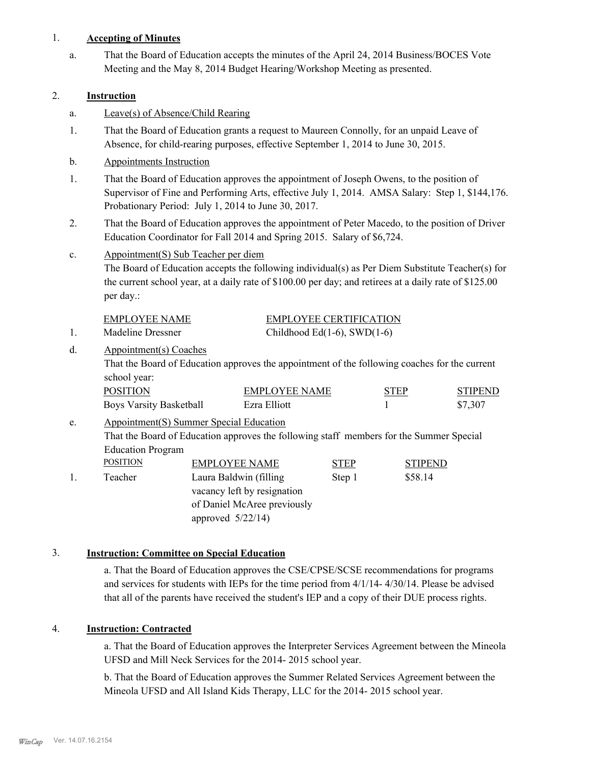#### 1. **Accepting of Minutes**

That the Board of Education accepts the minutes of the April 24, 2014 Business/BOCES Vote Meeting and the May 8, 2014 Budget Hearing/Workshop Meeting as presented. a.

### 2. **Instruction**

- a. Leave(s) of Absence/Child Rearing
- That the Board of Education grants a request to Maureen Connolly, for an unpaid Leave of Absence, for child-rearing purposes, effective September 1, 2014 to June 30, 2015. 1.
- b. Appointments Instruction
- That the Board of Education approves the appointment of Joseph Owens, to the position of Supervisor of Fine and Performing Arts, effective July 1, 2014. AMSA Salary: Step 1, \$144,176. Probationary Period: July 1, 2014 to June 30, 2017. 1.
- That the Board of Education approves the appointment of Peter Macedo, to the position of Driver Education Coordinator for Fall 2014 and Spring 2015. Salary of \$6,724. 2.
- Appointment(S) Sub Teacher per diem c.

The Board of Education accepts the following individual(s) as Per Diem Substitute Teacher(s) for the current school year, at a daily rate of \$100.00 per day; and retirees at a daily rate of \$125.00 per day.:

| EMPLOYEE NAME     | <b>EMPLOYEE CERTIFICATION</b> |
|-------------------|-------------------------------|
| Madeline Dressner | Childhood Ed(1-6), SWD(1-6)   |

#### Appointment(s) Coaches d.

That the Board of Education approves the appointment of the following coaches for the current school year:

| <b>POSITION</b>                | EMPLOYEE NAME | <b>STEP</b> | <b>STIPEND</b> |
|--------------------------------|---------------|-------------|----------------|
| <b>Boys Varsity Basketball</b> | Ezra Elliott  |             | \$7,307        |

#### Appointment(S) Summer Special Education That the Board of Education approves the following staff members for the Summer Special Education Program e. POSITION EMPLOYEE NAME STEP STIPEND 1. Teacher Laura Baldwin (filling Step 1 \$58.14 vacancy left by resignation of Daniel McAree previously approved 5/22/14)

# 3. **Instruction: Committee on Special Education**

a. That the Board of Education approves the CSE/CPSE/SCSE recommendations for programs and services for students with IEPs for the time period from 4/1/14- 4/30/14. Please be advised that all of the parents have received the student's IEP and a copy of their DUE process rights.

# 4. **Instruction: Contracted**

a. That the Board of Education approves the Interpreter Services Agreement between the Mineola UFSD and Mill Neck Services for the 2014- 2015 school year.

b. That the Board of Education approves the Summer Related Services Agreement between the Mineola UFSD and All Island Kids Therapy, LLC for the 2014- 2015 school year.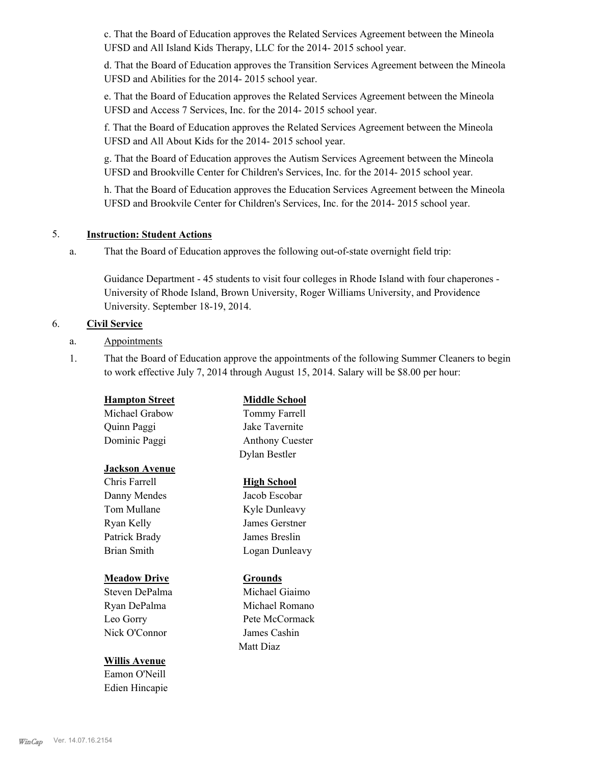c. That the Board of Education approves the Related Services Agreement between the Mineola UFSD and All Island Kids Therapy, LLC for the 2014- 2015 school year.

d. That the Board of Education approves the Transition Services Agreement between the Mineola UFSD and Abilities for the 2014- 2015 school year.

e. That the Board of Education approves the Related Services Agreement between the Mineola UFSD and Access 7 Services, Inc. for the 2014- 2015 school year.

f. That the Board of Education approves the Related Services Agreement between the Mineola UFSD and All About Kids for the 2014- 2015 school year.

g. That the Board of Education approves the Autism Services Agreement between the Mineola UFSD and Brookville Center for Children's Services, Inc. for the 2014- 2015 school year.

h. That the Board of Education approves the Education Services Agreement between the Mineola UFSD and Brookvile Center for Children's Services, Inc. for the 2014- 2015 school year.

#### 5. **Instruction: Student Actions**

That the Board of Education approves the following out-of-state overnight field trip: a.

Guidance Department - 45 students to visit four colleges in Rhode Island with four chaperones - University of Rhode Island, Brown University, Roger Williams University, and Providence University. September 18-19, 2014.

#### 6. **Civil Service**

a. Appointments

**Willis Avenue** Eamon O'Neill Edien Hincapie

That the Board of Education approve the appointments of the following Summer Cleaners to begin to work effective July 7, 2014 through August 15, 2014. Salary will be \$8.00 per hour: 1.

| <b>Hampton Street</b> | <b>Middle School</b>   |
|-----------------------|------------------------|
| Michael Grabow        | Tommy Farrell          |
| Quinn Paggi           | Jake Tavernite         |
| Dominic Paggi         | <b>Anthony Cuester</b> |
|                       | Dylan Bestler          |
| <u>Jackson Avenue</u> |                        |
| Chris Farrell         | <b>High School</b>     |
| Danny Mendes          | Jacob Escobar          |
| Tom Mullane           | Kyle Dunleavy          |
| Ryan Kelly            | James Gerstner         |
| Patrick Brady         | James Breslin          |
| <b>Brian Smith</b>    | Logan Dunleavy         |
| <u> Meadow Drive</u>  | <b>Grounds</b>         |
| Steven DePalma        | Michael Giaimo         |
| Ryan DePalma          | Michael Romano         |
| Leo Gorry             | Pete McCormack         |
| Nick O'Connor         | James Cashin           |

Matt Diaz

#### *WinCap* Ver. 14.07.16.2154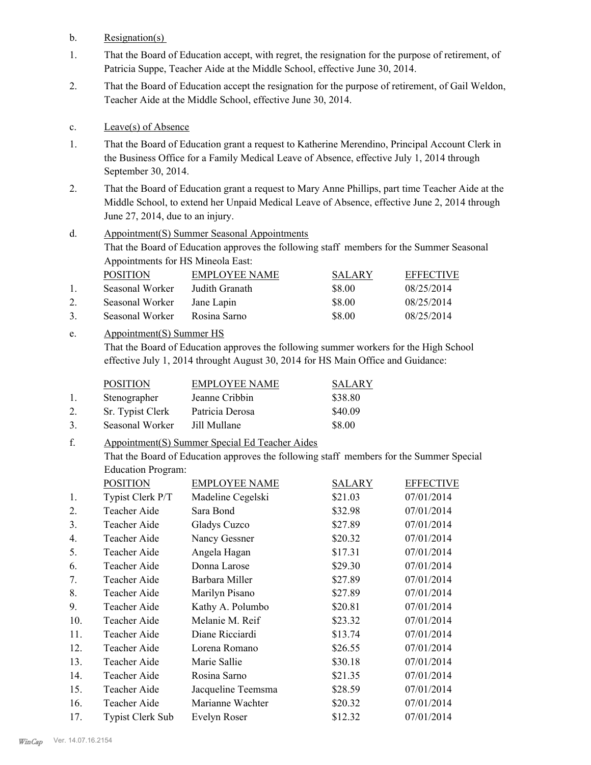b. Resignation(s)

- That the Board of Education accept, with regret, the resignation for the purpose of retirement, of Patricia Suppe, Teacher Aide at the Middle School, effective June 30, 2014. 1.
- That the Board of Education accept the resignation for the purpose of retirement, of Gail Weldon, Teacher Aide at the Middle School, effective June 30, 2014. 2.

#### c. Leave(s) of Absence

- That the Board of Education grant a request to Katherine Merendino, Principal Account Clerk in the Business Office for a Family Medical Leave of Absence, effective July 1, 2014 through September 30, 2014. 1.
- That the Board of Education grant a request to Mary Anne Phillips, part time Teacher Aide at the Middle School, to extend her Unpaid Medical Leave of Absence, effective June 2, 2014 through June 27, 2014, due to an injury. 2.

#### Appointment(S) Summer Seasonal Appointments That the Board of Education approves the following staff members for the Summer Seasonal Appointments for HS Mineola East: d.

|               | <b>POSITION</b> | EMPLOYEE NAME  | <b>SALARY</b> | <b>EFFECTIVE</b> |
|---------------|-----------------|----------------|---------------|------------------|
|               | Seasonal Worker | Judith Granath | \$8.00        | 08/25/2014       |
|               | Seasonal Worker | Jane Lapin     | \$8.00        | 08/25/2014       |
| $\mathcal{R}$ | Seasonal Worker | Rosina Sarno   | \$8.00        | 08/25/2014       |

#### Appointment(S) Summer HS e.

That the Board of Education approves the following summer workers for the High School effective July 1, 2014 throught August 30, 2014 for HS Main Office and Guidance:

|    | <b>POSITION</b>  | <b>EMPLOYEE NAME</b> | <b>SALARY</b> |
|----|------------------|----------------------|---------------|
|    | Stenographer     | Jeanne Cribbin       | \$38.80       |
| 2. | Sr. Typist Clerk | Patricia Derosa      | \$40.09       |
| 3. | Seasonal Worker  | Jill Mullane         | \$8.00        |

#### Appointment(S) Summer Special Ed Teacher Aides f.

That the Board of Education approves the following staff members for the Summer Special Education Program:

|                | <b>POSITION</b>         | <b>EMPLOYEE NAME</b> | SALARY  | <b>EFFECTIVE</b> |
|----------------|-------------------------|----------------------|---------|------------------|
| 1.             | Typist Clerk P/T        | Madeline Cegelski    | \$21.03 | 07/01/2014       |
| 2.             | Teacher Aide            | Sara Bond            | \$32.98 | 07/01/2014       |
| 3 <sub>1</sub> | Teacher Aide            | Gladys Cuzco         | \$27.89 | 07/01/2014       |
| 4.             | Teacher Aide            | Nancy Gessner        | \$20.32 | 07/01/2014       |
| 5.             | Teacher Aide            | Angela Hagan         | \$17.31 | 07/01/2014       |
| 6.             | Teacher Aide            | Donna Larose         | \$29.30 | 07/01/2014       |
| 7.             | Teacher Aide            | Barbara Miller       | \$27.89 | 07/01/2014       |
| 8.             | Teacher Aide            | Marilyn Pisano       | \$27.89 | 07/01/2014       |
| 9.             | Teacher Aide            | Kathy A. Polumbo     | \$20.81 | 07/01/2014       |
| 10.            | Teacher Aide            | Melanie M. Reif      | \$23.32 | 07/01/2014       |
| 11.            | Teacher Aide            | Diane Ricciardi      | \$13.74 | 07/01/2014       |
| 12.            | Teacher Aide            | Lorena Romano        | \$26.55 | 07/01/2014       |
| 13.            | Teacher Aide            | Marie Sallie         | \$30.18 | 07/01/2014       |
| 14.            | Teacher Aide            | Rosina Sarno         | \$21.35 | 07/01/2014       |
| 15.            | Teacher Aide            | Jacqueline Teemsma   | \$28.59 | 07/01/2014       |
| 16.            | Teacher Aide            | Marianne Wachter     | \$20.32 | 07/01/2014       |
| 17.            | <b>Typist Clerk Sub</b> | Evelyn Roser         | \$12.32 | 07/01/2014       |
|                |                         |                      |         |                  |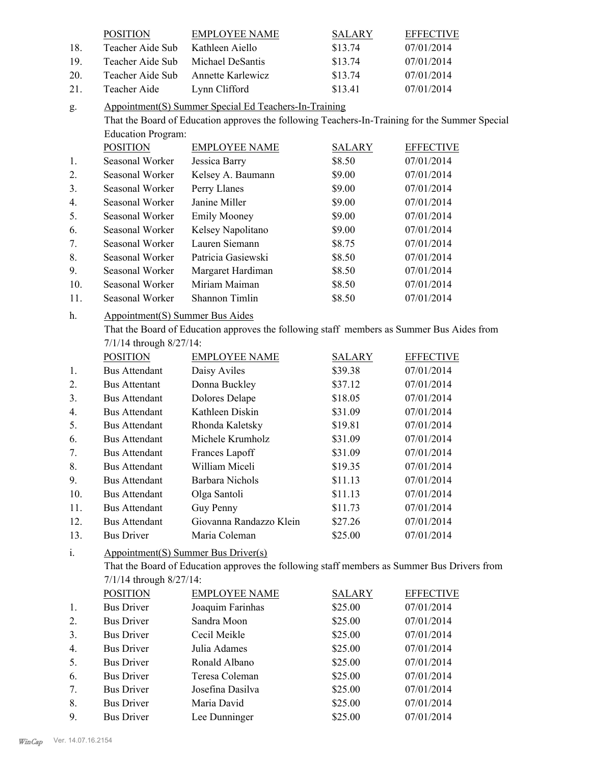|                | <b>POSITION</b>                                       | <b>EMPLOYEE NAME</b>                                                                           | <b>SALARY</b> | <b>EFFECTIVE</b> |  |
|----------------|-------------------------------------------------------|------------------------------------------------------------------------------------------------|---------------|------------------|--|
| 18.            | Teacher Aide Sub                                      | Kathleen Aiello                                                                                | \$13.74       | 07/01/2014       |  |
| 19.            | Teacher Aide Sub                                      | Michael DeSantis                                                                               | \$13.74       | 07/01/2014       |  |
| 20.            | Teacher Aide Sub                                      | Annette Karlewicz                                                                              | \$13.74       | 07/01/2014       |  |
| 21.            | Teacher Aide                                          | Lynn Clifford                                                                                  | \$13.41       | 07/01/2014       |  |
| g.             | Appointment(S) Summer Special Ed Teachers-In-Training |                                                                                                |               |                  |  |
|                |                                                       | That the Board of Education approves the following Teachers-In-Training for the Summer Special |               |                  |  |
|                | <b>Education Program:</b>                             |                                                                                                |               |                  |  |
|                | <b>POSITION</b>                                       | <b>EMPLOYEE NAME</b>                                                                           | <b>SALARY</b> | <b>EFFECTIVE</b> |  |
| 1.             | Seasonal Worker                                       | Jessica Barry                                                                                  | \$8.50        | 07/01/2014       |  |
| 2.             | Seasonal Worker                                       | Kelsey A. Baumann                                                                              | \$9.00        | 07/01/2014       |  |
| 3.             | Seasonal Worker                                       | Perry Llanes                                                                                   | \$9.00        | 07/01/2014       |  |
| 4.             | Seasonal Worker                                       | Janine Miller                                                                                  | \$9.00        | 07/01/2014       |  |
| 5.             | Seasonal Worker                                       | <b>Emily Mooney</b>                                                                            | \$9.00        | 07/01/2014       |  |
| 6.             | Seasonal Worker                                       | Kelsey Napolitano                                                                              | \$9.00        | 07/01/2014       |  |
| 7.             | Seasonal Worker                                       | Lauren Siemann                                                                                 | \$8.75        | 07/01/2014       |  |
| 8.             | Seasonal Worker                                       | Patricia Gasiewski                                                                             | \$8.50        | 07/01/2014       |  |
| 9.             | Seasonal Worker                                       | Margaret Hardiman                                                                              | \$8.50        | 07/01/2014       |  |
| 10.            | Seasonal Worker                                       | Miriam Maiman                                                                                  | \$8.50        | 07/01/2014       |  |
| 11.            | Seasonal Worker                                       | Shannon Timlin                                                                                 | \$8.50        | 07/01/2014       |  |
| h.             | <b>Appointment(S) Summer Bus Aides</b>                |                                                                                                |               |                  |  |
|                |                                                       | That the Board of Education approves the following staff members as Summer Bus Aides from      |               |                  |  |
|                | 7/1/14 through 8/27/14:                               |                                                                                                |               |                  |  |
|                | <b>POSITION</b>                                       | <b>EMPLOYEE NAME</b>                                                                           | <b>SALARY</b> | <b>EFFECTIVE</b> |  |
| 1.             | <b>Bus Attendant</b>                                  | Daisy Aviles                                                                                   | \$39.38       | 07/01/2014       |  |
| 2.             | <b>Bus Attentant</b>                                  | Donna Buckley                                                                                  | \$37.12       | 07/01/2014       |  |
| 3 <sub>1</sub> | <b>Bus Attendant</b>                                  | Dolores Delape                                                                                 | \$18.05       | 07/01/2014       |  |
| 4.             | <b>Bus Attendant</b>                                  | Kathleen Diskin                                                                                | \$31.09       | 07/01/2014       |  |
| 5.             | <b>Bus Attendant</b>                                  | Rhonda Kaletsky                                                                                | \$19.81       | 07/01/2014       |  |
| 6.             | <b>Bus Attendant</b>                                  | Michele Krumholz                                                                               | \$31.09       | 07/01/2014       |  |
| 7.             | <b>Bus Attendant</b>                                  | Frances Lapoff                                                                                 | \$31.09       | 07/01/2014       |  |
| 8.             | <b>Bus Attendant</b>                                  | William Miceli                                                                                 | \$19.35       | 07/01/2014       |  |
| 9.             | <b>Bus Attendant</b>                                  | <b>Barbara Nichols</b>                                                                         | \$11.13       | 07/01/2014       |  |
| 10.            | <b>Bus Attendant</b>                                  | Olga Santoli                                                                                   | \$11.13       | 07/01/2014       |  |
| 11.            | <b>Bus Attendant</b>                                  | Guy Penny                                                                                      | \$11.73       | 07/01/2014       |  |
| 12.            | <b>Bus Attendant</b>                                  | Giovanna Randazzo Klein                                                                        | \$27.26       | 07/01/2014       |  |
| 13.            | <b>Bus Driver</b>                                     | Maria Coleman                                                                                  | \$25.00       | 07/01/2014       |  |
| $\mathbf{i}$ . |                                                       | Appointment(S) Summer Bus Driver(s)                                                            |               |                  |  |
|                |                                                       | That the Board of Education approves the following staff members as Summer Bus Drivers from    |               |                  |  |
|                | 7/1/14 through 8/27/14:                               |                                                                                                |               |                  |  |
|                | <b>POSITION</b>                                       | <b>EMPLOYEE NAME</b>                                                                           | <b>SALARY</b> | <b>EFFECTIVE</b> |  |
| 1.             | <b>Bus Driver</b>                                     | Joaquim Farinhas                                                                               | \$25.00       | 07/01/2014       |  |
| 2.             | <b>Bus Driver</b>                                     | Sandra Moon                                                                                    | \$25.00       | 07/01/2014       |  |
| 3.             | <b>Bus Driver</b>                                     | Cecil Meikle                                                                                   | \$25.00       | 07/01/2014       |  |
| 4.             | <b>Bus Driver</b>                                     | Julia Adames                                                                                   | \$25.00       | 07/01/2014       |  |
| 5.             | <b>Bus Driver</b>                                     | Ronald Albano                                                                                  | \$25.00       | 07/01/2014       |  |
| 6.             | <b>Bus Driver</b>                                     | Teresa Coleman                                                                                 | \$25.00       | 07/01/2014       |  |
| 7.             | <b>Bus Driver</b>                                     | Josefina Dasilva                                                                               | \$25.00       | 07/01/2014       |  |
| 8.             | <b>Bus Driver</b>                                     | Maria David                                                                                    | \$25.00       | 07/01/2014       |  |
| 9.             | <b>Bus Driver</b>                                     | Lee Dunninger                                                                                  | \$25.00       | 07/01/2014       |  |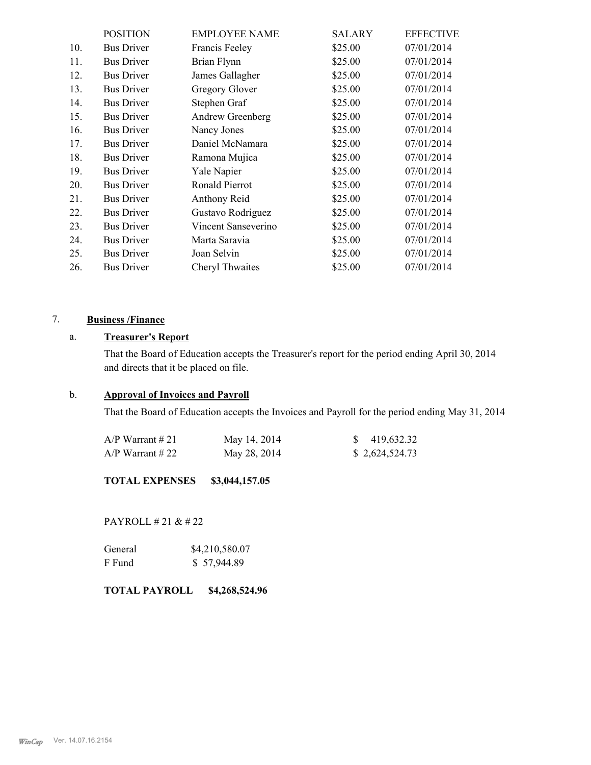|     | <b>POSITION</b>   | <b>EMPLOYEE NAME</b> | <b>SALARY</b> | <b>EFFECTIVE</b> |
|-----|-------------------|----------------------|---------------|------------------|
| 10. | <b>Bus Driver</b> | Francis Feeley       | \$25.00       | 07/01/2014       |
| 11. | <b>Bus Driver</b> | Brian Flynn          | \$25.00       | 07/01/2014       |
| 12. | <b>Bus Driver</b> | James Gallagher      | \$25.00       | 07/01/2014       |
| 13. | <b>Bus Driver</b> | Gregory Glover       | \$25.00       | 07/01/2014       |
| 14. | <b>Bus Driver</b> | Stephen Graf         | \$25.00       | 07/01/2014       |
| 15. | <b>Bus Driver</b> | Andrew Greenberg     | \$25.00       | 07/01/2014       |
| 16. | <b>Bus Driver</b> | Nancy Jones          | \$25.00       | 07/01/2014       |
| 17. | <b>Bus Driver</b> | Daniel McNamara      | \$25.00       | 07/01/2014       |
| 18. | <b>Bus Driver</b> | Ramona Mujica        | \$25.00       | 07/01/2014       |
| 19. | <b>Bus Driver</b> | Yale Napier          | \$25.00       | 07/01/2014       |
| 20. | <b>Bus Driver</b> | Ronald Pierrot       | \$25.00       | 07/01/2014       |
| 21. | <b>Bus Driver</b> | Anthony Reid         | \$25.00       | 07/01/2014       |
| 22. | <b>Bus Driver</b> | Gustavo Rodriguez    | \$25.00       | 07/01/2014       |
| 23. | <b>Bus Driver</b> | Vincent Sanseverino  | \$25.00       | 07/01/2014       |
| 24. | <b>Bus Driver</b> | Marta Saravia        | \$25.00       | 07/01/2014       |
| 25. | <b>Bus Driver</b> | Joan Selvin          | \$25.00       | 07/01/2014       |
| 26. | <b>Bus Driver</b> | Cheryl Thwaites      | \$25.00       | 07/01/2014       |

# 7. **Business /Finance**

# a. **Treasurer's Report**

That the Board of Education accepts the Treasurer's report for the period ending April 30, 2014 and directs that it be placed on file.

# b. **Approval of Invoices and Payroll**

That the Board of Education accepts the Invoices and Payroll for the period ending May 31, 2014

| $A/P$ Warrant # 21 | May 14, 2014 | $\frac{$}{9}$ 419,632.32 |
|--------------------|--------------|--------------------------|
| $A/P$ Warrant #22  | May 28, 2014 | \$2,624,524.73           |

**TOTAL EXPENSES \$3,044,157.05**

PAYROLL # 21 & # 22

| General | \$4,210,580.07 |
|---------|----------------|
| F Fund  | \$57,944.89    |

**TOTAL PAYROLL \$4,268,524.96**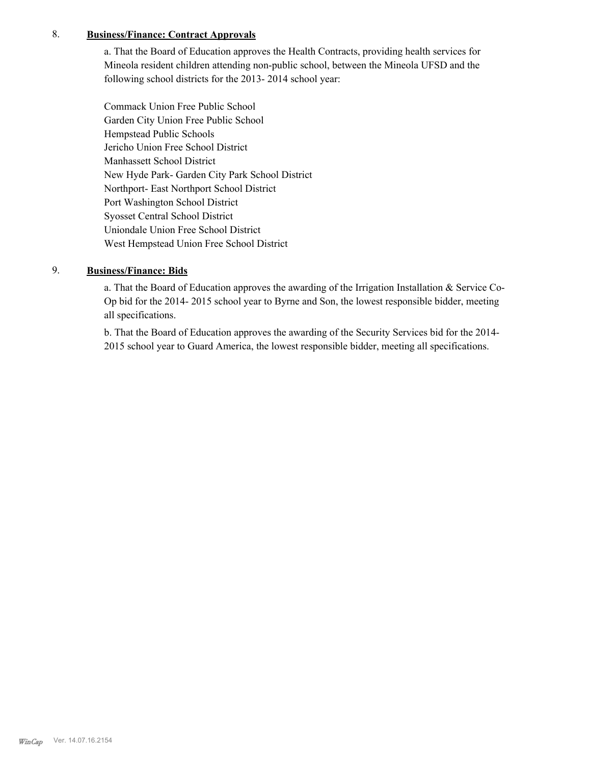## 8. **Business/Finance: Contract Approvals**

a. That the Board of Education approves the Health Contracts, providing health services for Mineola resident children attending non-public school, between the Mineola UFSD and the following school districts for the 2013- 2014 school year:

Commack Union Free Public School Garden City Union Free Public School Hempstead Public Schools Jericho Union Free School District Manhassett School District New Hyde Park- Garden City Park School District Northport- East Northport School District Port Washington School District Syosset Central School District Uniondale Union Free School District West Hempstead Union Free School District

## 9. **Business/Finance: Bids**

a. That the Board of Education approves the awarding of the Irrigation Installation  $\&$  Service Co-Op bid for the 2014- 2015 school year to Byrne and Son, the lowest responsible bidder, meeting all specifications.

b. That the Board of Education approves the awarding of the Security Services bid for the 2014- 2015 school year to Guard America, the lowest responsible bidder, meeting all specifications.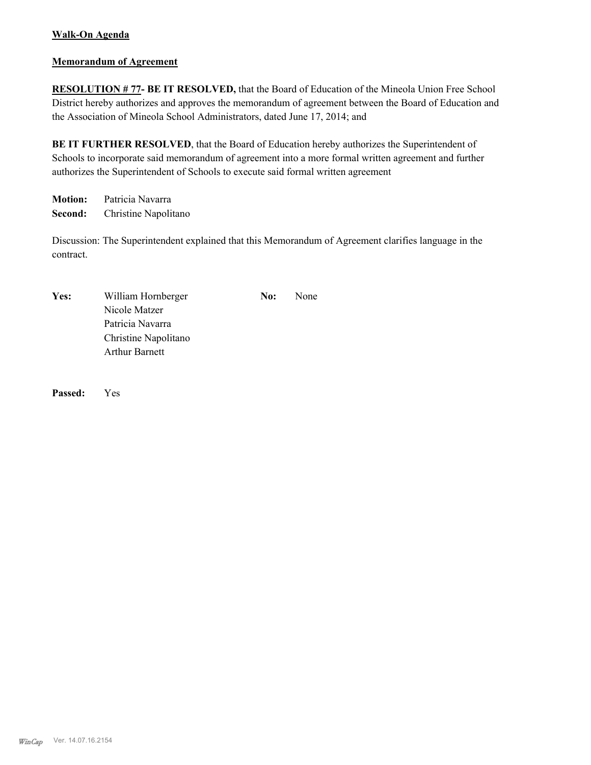# **Walk-On Agenda**

#### **Memorandum of Agreement**

**RESOLUTION # 77- BE IT RESOLVED,** that the Board of Education of the Mineola Union Free School District hereby authorizes and approves the memorandum of agreement between the Board of Education and the Association of Mineola School Administrators, dated June 17, 2014; and

BE IT FURTHER RESOLVED, that the Board of Education hereby authorizes the Superintendent of Schools to incorporate said memorandum of agreement into a more formal written agreement and further authorizes the Superintendent of Schools to execute said formal written agreement

**Motion:** Patricia Navarra **Second:** Christine Napolitano

Discussion: The Superintendent explained that this Memorandum of Agreement clarifies language in the contract.

| Yes: | William Hornberger    | No: | None |
|------|-----------------------|-----|------|
|      | Nicole Matzer         |     |      |
|      | Patricia Navarra      |     |      |
|      | Christine Napolitano  |     |      |
|      | <b>Arthur Barnett</b> |     |      |

**Passed:** Yes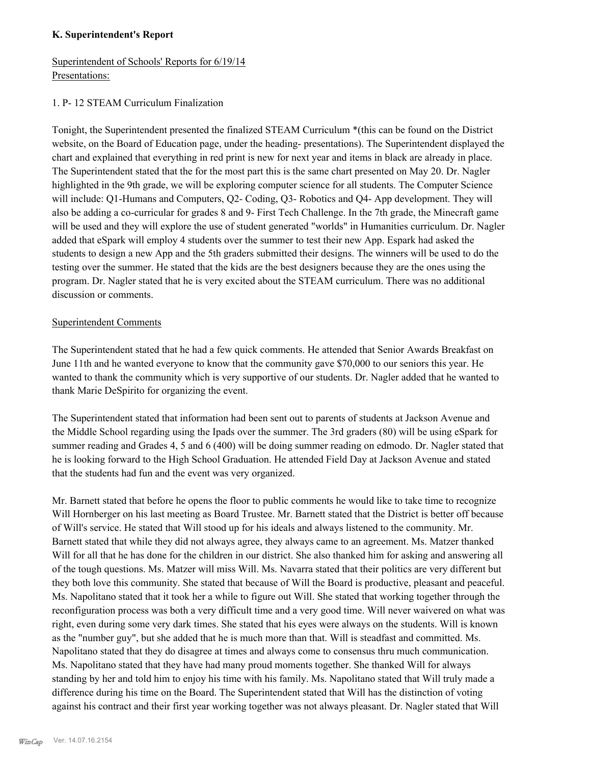#### **K. Superintendent's Report**

# Superintendent of Schools' Reports for 6/19/14 Presentations:

### 1. P- 12 STEAM Curriculum Finalization

Tonight, the Superintendent presented the finalized STEAM Curriculum \*(this can be found on the District website, on the Board of Education page, under the heading- presentations). The Superintendent displayed the chart and explained that everything in red print is new for next year and items in black are already in place. The Superintendent stated that the for the most part this is the same chart presented on May 20. Dr. Nagler highlighted in the 9th grade, we will be exploring computer science for all students. The Computer Science will include: Q1-Humans and Computers, Q2- Coding, Q3- Robotics and Q4- App development. They will also be adding a co-curricular for grades 8 and 9- First Tech Challenge. In the 7th grade, the Minecraft game will be used and they will explore the use of student generated "worlds" in Humanities curriculum. Dr. Nagler added that eSpark will employ 4 students over the summer to test their new App. Espark had asked the students to design a new App and the 5th graders submitted their designs. The winners will be used to do the testing over the summer. He stated that the kids are the best designers because they are the ones using the program. Dr. Nagler stated that he is very excited about the STEAM curriculum. There was no additional discussion or comments.

#### Superintendent Comments

The Superintendent stated that he had a few quick comments. He attended that Senior Awards Breakfast on June 11th and he wanted everyone to know that the community gave \$70,000 to our seniors this year. He wanted to thank the community which is very supportive of our students. Dr. Nagler added that he wanted to thank Marie DeSpirito for organizing the event.

The Superintendent stated that information had been sent out to parents of students at Jackson Avenue and the Middle School regarding using the Ipads over the summer. The 3rd graders (80) will be using eSpark for summer reading and Grades 4, 5 and 6 (400) will be doing summer reading on edmodo. Dr. Nagler stated that he is looking forward to the High School Graduation. He attended Field Day at Jackson Avenue and stated that the students had fun and the event was very organized.

Mr. Barnett stated that before he opens the floor to public comments he would like to take time to recognize Will Hornberger on his last meeting as Board Trustee. Mr. Barnett stated that the District is better off because of Will's service. He stated that Will stood up for his ideals and always listened to the community. Mr. Barnett stated that while they did not always agree, they always came to an agreement. Ms. Matzer thanked Will for all that he has done for the children in our district. She also thanked him for asking and answering all of the tough questions. Ms. Matzer will miss Will. Ms. Navarra stated that their politics are very different but they both love this community. She stated that because of Will the Board is productive, pleasant and peaceful. Ms. Napolitano stated that it took her a while to figure out Will. She stated that working together through the reconfiguration process was both a very difficult time and a very good time. Will never waivered on what was right, even during some very dark times. She stated that his eyes were always on the students. Will is known as the "number guy", but she added that he is much more than that. Will is steadfast and committed. Ms. Napolitano stated that they do disagree at times and always come to consensus thru much communication. Ms. Napolitano stated that they have had many proud moments together. She thanked Will for always standing by her and told him to enjoy his time with his family. Ms. Napolitano stated that Will truly made a difference during his time on the Board. The Superintendent stated that Will has the distinction of voting against his contract and their first year working together was not always pleasant. Dr. Nagler stated that Will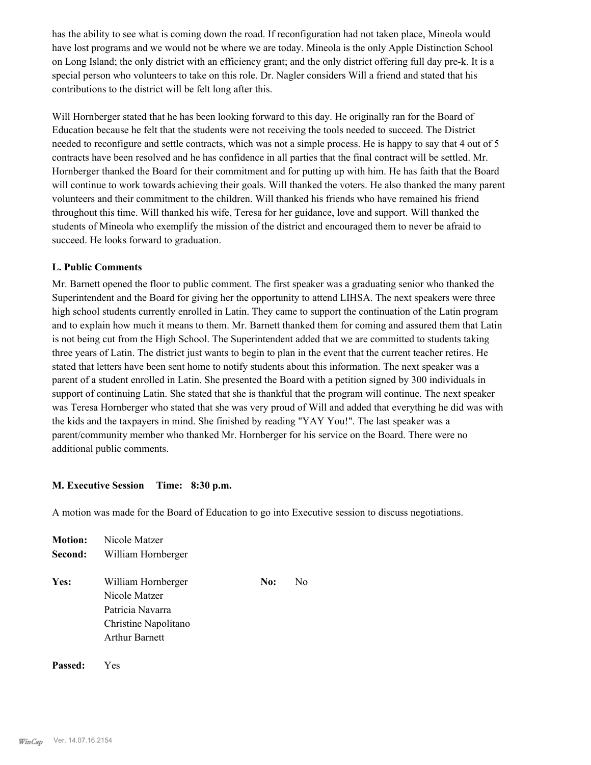has the ability to see what is coming down the road. If reconfiguration had not taken place, Mineola would have lost programs and we would not be where we are today. Mineola is the only Apple Distinction School on Long Island; the only district with an efficiency grant; and the only district offering full day pre-k. It is a special person who volunteers to take on this role. Dr. Nagler considers Will a friend and stated that his contributions to the district will be felt long after this.

Will Hornberger stated that he has been looking forward to this day. He originally ran for the Board of Education because he felt that the students were not receiving the tools needed to succeed. The District needed to reconfigure and settle contracts, which was not a simple process. He is happy to say that 4 out of 5 contracts have been resolved and he has confidence in all parties that the final contract will be settled. Mr. Hornberger thanked the Board for their commitment and for putting up with him. He has faith that the Board will continue to work towards achieving their goals. Will thanked the voters. He also thanked the many parent volunteers and their commitment to the children. Will thanked his friends who have remained his friend throughout this time. Will thanked his wife, Teresa for her guidance, love and support. Will thanked the students of Mineola who exemplify the mission of the district and encouraged them to never be afraid to succeed. He looks forward to graduation.

#### **L. Public Comments**

Mr. Barnett opened the floor to public comment. The first speaker was a graduating senior who thanked the Superintendent and the Board for giving her the opportunity to attend LIHSA. The next speakers were three high school students currently enrolled in Latin. They came to support the continuation of the Latin program and to explain how much it means to them. Mr. Barnett thanked them for coming and assured them that Latin is not being cut from the High School. The Superintendent added that we are committed to students taking three years of Latin. The district just wants to begin to plan in the event that the current teacher retires. He stated that letters have been sent home to notify students about this information. The next speaker was a parent of a student enrolled in Latin. She presented the Board with a petition signed by 300 individuals in support of continuing Latin. She stated that she is thankful that the program will continue. The next speaker was Teresa Hornberger who stated that she was very proud of Will and added that everything he did was with the kids and the taxpayers in mind. She finished by reading "YAY You!". The last speaker was a parent/community member who thanked Mr. Hornberger for his service on the Board. There were no additional public comments.

#### **M. Executive Session Time: 8:30 p.m.**

A motion was made for the Board of Education to go into Executive session to discuss negotiations.

| <b>Motion:</b> | Nicole Matzer                                                                   |     |    |
|----------------|---------------------------------------------------------------------------------|-----|----|
| Second:        | William Hornberger                                                              |     |    |
| Yes:           | William Hornberger<br>Nicole Matzer<br>Patricia Navarra<br>Christine Napolitano | No: | N٥ |
|                | <b>Arthur Barnett</b>                                                           |     |    |

**Passed:** Yes